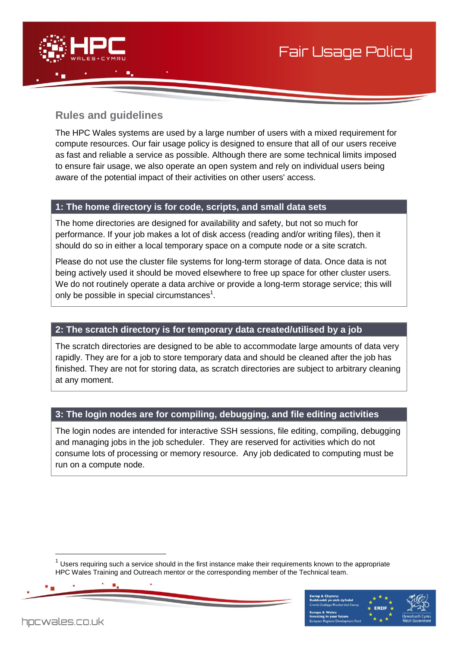

# **Rules and guidelines**

The HPC Wales systems are used by a large number of users with a mixed requirement for compute resources. Our fair usage policy is designed to ensure that all of our users receive as fast and reliable a service as possible. Although there are some technical limits imposed to ensure fair usage, we also operate an open system and rely on individual users being aware of the potential impact of their activities on other users' access.

### **1: The home directory is for code, scripts, and small data sets**

The home directories are designed for availability and safety, but not so much for performance. If your job makes a lot of disk access (reading and/or writing files), then it should do so in either a local temporary space on a compute node or a site scratch.

Please do not use the cluster file systems for long-term storage of data. Once data is not being actively used it should be moved elsewhere to free up space for other cluster users. We do not routinely operate a data archive or provide a long-term storage service; this will only be possible in special circumstances $^1$ .

## **2: The scratch directory is for temporary data created/utilised by a job**

The scratch directories are designed to be able to accommodate large amounts of data very rapidly. They are for a job to store temporary data and should be cleaned after the job has finished. They are not for storing data, as scratch directories are subject to arbitrary cleaning at any moment.

# **3: The login nodes are for compiling, debugging, and file editing activities**

The login nodes are intended for interactive SSH sessions, file editing, compiling, debugging and managing jobs in the job scheduler. They are reserved for activities which do not consume lots of processing or memory resource. Any job dedicated to computing must be run on a compute node.

<sup>1</sup> Users requiring such a service should in the first instance make their requirements known to the appropriate HPC Wales Training and Outreach mentor or the corresponding member of the Technical team.





Fair Usage Policy

-